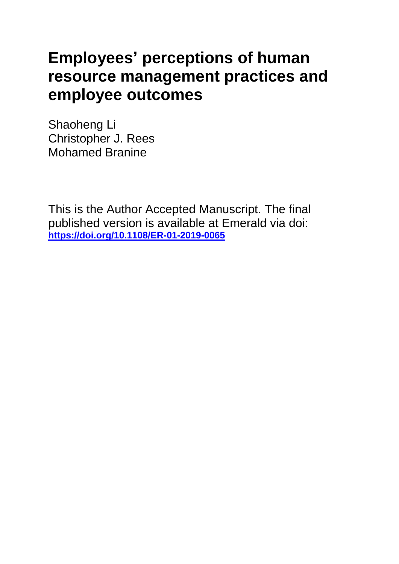# **Employees' perceptions of human resource management practices and employee outcomes**

Shaoheng Li Christopher J. Rees Mohamed Branine

This is the Author Accepted Manuscript. The final published version is available at Emerald via doi: **<https://doi.org/10.1108/ER-01-2019-0065>**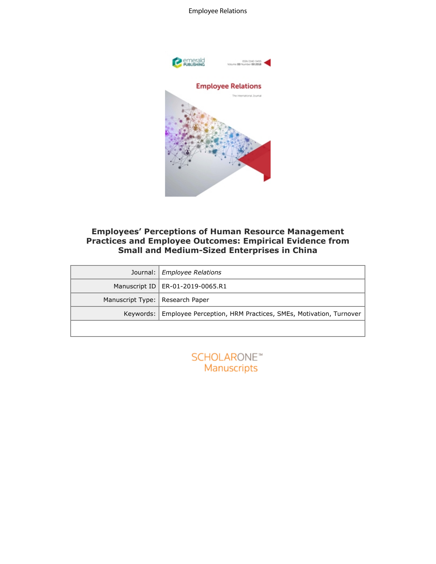



# **Employees' Perceptions of Human Resource Management Practices and Employee Outcomes: Empirical Evidence from Small and Medium-Sized Enterprises in China**

|                  | <b>Employees' Perceptions of Human Resource Management</b><br><b>Practices and Employee Outcomes: Empirical Evidence from</b><br><b>Small and Medium-Sized Enterprises in China</b> |
|------------------|-------------------------------------------------------------------------------------------------------------------------------------------------------------------------------------|
| Journal:         | <b>Employee Relations</b>                                                                                                                                                           |
| Manuscript ID    | ER-01-2019-0065.R1                                                                                                                                                                  |
| Manuscript Type: | Research Paper                                                                                                                                                                      |
| Keywords:        | Employee Perception, HRM Practices, SMEs, Motivation, Turnover                                                                                                                      |
|                  |                                                                                                                                                                                     |
|                  | SCHOLARONE <sup>*</sup><br>Manuscripts                                                                                                                                              |

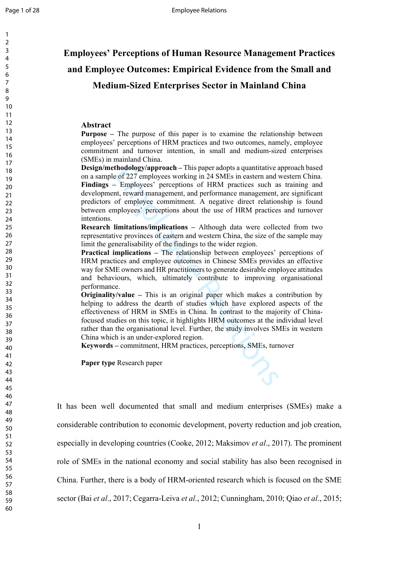$\mathbf{1}$  $\overline{2}$  $\overline{3}$  $\overline{4}$ 

# **Employees' Perceptions of Human Resource Management Practices and Employee Outcomes: Empirical Evidence from the Small and Medium-Sized Enterprises Sector in Mainland China**

#### **Abstract**

**Purpose –** The purpose of this paper is to examine the relationship between employees' perceptions of HRM practices and two outcomes, namely, employee commitment and turnover intention, in small and medium-sized enterprises (SMEs) in mainland China.

thodology/approach – This paper adopts a quantitative and the of 227 employees working in 24 SMEs in eastern and the Employees' perceptions of HRM practices such as the theorem. the reward magaement, and performance manage **Design/methodology/approach –** This paper adopts a quantitative approach based on a sample of 227 employees working in 24 SMEs in eastern and western China. **Findings –** Employees' perceptions of HRM practices such as training and development, reward management, and performance management, are significant predictors of employee commitment. A negative direct relationship is found between employees' perceptions about the use of HRM practices and turnover intentions.

**Research limitations/implications –** Although data were collected from two representative provinces of eastern and western China, the size of the sample may limit the generalisability of the findings to the wider region.

**Practical implications –** The relationship between employees' perceptions of HRM practices and employee outcomes in Chinese SMEs provides an effective way for SME owners and HR practitioners to generate desirable employee attitudes and behaviours, which, ultimately contribute to improving organisational performance.

**Originality/value –** This is an original paper which makes a contribution by helping to address the dearth of studies which have explored aspects of the effectiveness of HRM in SMEs in China. In contrast to the majority of Chinafocused studies on this topic, it highlights HRM outcomes at the individual level rather than the organisational level. Further, the study involves SMEs in western China which is an under-explored region.

**Keywords –** commitment, HRM practices, perceptions, SMEs, turnover

**Paper type** Research paper

It has been well documented that small and medium enterprises (SMEs) make a considerable contribution to economic development, poverty reduction and job creation, especially in developing countries (Cooke, 2012; Maksimov *et al*., 2017). The prominent role of SMEs in the national economy and social stability has also been recognised in China. Further, there is a body of HRM-oriented research which is focused on the SME sector (Bai *et al*., 2017; Cegarra-Leiva *et al*., 2012; Cunningham, 2010; Qiao *et al*., 2015;

60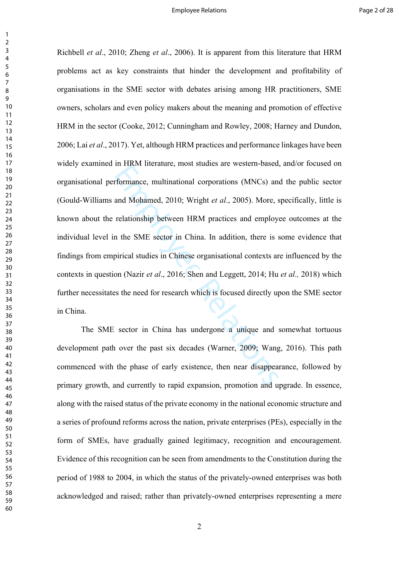In TRW Increasing, most statics are western-based.<br>
formance, multinational corporations (MNCs) and<br>
and Mohamed, 2010; Wright *et al.*, 2005). More, s<br>
relationship between HRM practices and employ<br>
n the SME sector in C Richbell *et al*., 2010; Zheng *et al*., 2006). It is apparent from this literature that HRM problems act as key constraints that hinder the development and profitability of organisations in the SME sector with debates arising among HR practitioners, SME owners, scholars and even policy makers about the meaning and promotion of effective HRM in the sector (Cooke, 2012; Cunningham and Rowley, 2008; Harney and Dundon, 2006; Lai *et al*., 2017). Yet, although HRM practices and performance linkages have been widely examined in HRM literature, most studies are western-based, and/or focused on organisational performance, multinational corporations (MNCs) and the public sector (Gould-Williams and Mohamed, 2010; Wright *et al*., 2005). More, specifically, little is known about the relationship between HRM practices and employee outcomes at the individual level in the SME sector in China. In addition, there is some evidence that findings from empirical studies in Chinese organisational contexts are influenced by the contexts in question (Nazir *et al*., 2016; Shen and Leggett, 2014; Hu *et al.,* 2018) which further necessitates the need for research which is focused directly upon the SME sector in China.

The SME sector in China has undergone a unique and somewhat tortuous development path over the past six decades (Warner, 2009; Wang, 2016). This path commenced with the phase of early existence, then near disappearance, followed by primary growth, and currently to rapid expansion, promotion and upgrade. In essence, along with the raised status of the private economy in the national economic structure and a series of profound reforms across the nation, private enterprises (PEs), especially in the form of SMEs, have gradually gained legitimacy, recognition and encouragement. Evidence of this recognition can be seen from amendments to the Constitution during the period of 1988 to 2004, in which the status of the privately-owned enterprises was both acknowledged and raised; rather than privately-owned enterprises representing a mere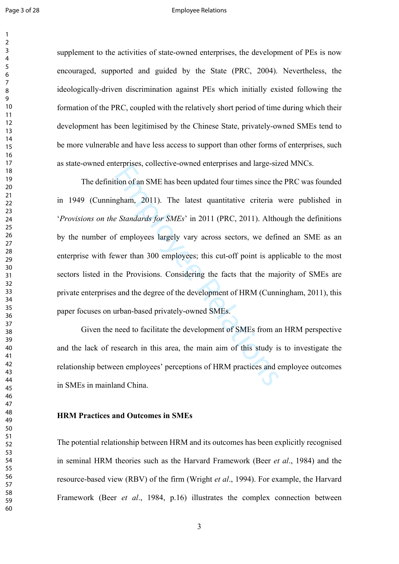#### Page 3 of 28 **Employee Relations**

supplement to the activities of state-owned enterprises, the development of PEs is now encouraged, supported and guided by the State (PRC, 2004). Nevertheless, the ideologically-driven discrimination against PEs which initially existed following the formation of the PRC, coupled with the relatively short period of time during which their development has been legitimised by the Chinese State, privately-owned SMEs tend to be more vulnerable and have less access to support than other forms of enterprises, such as state-owned enterprises, collective-owned enterprises and large-sized MNCs.

Empirical and Tages and Tages and Tages and Tages at the price of an SME has been updated four times since the pham, 2011). The latest quantitative criteria *a Standards for SMEs'* in 2011 (PRC, 2011). Althort employees The definition of an SME has been updated four times since the PRC was founded in 1949 (Cunningham, 2011). The latest quantitative criteria were published in '*Provisions on the Standards for SMEs*' in 2011 (PRC, 2011). Although the definitions by the number of employees largely vary across sectors, we defined an SME as an enterprise with fewer than 300 employees; this cut-off point is applicable to the most sectors listed in the Provisions. Considering the facts that the majority of SMEs are private enterprises and the degree of the development of HRM (Cunningham, 2011), this paper focuses on urban-based privately-owned SMEs.

Given the need to facilitate the development of SMEs from an HRM perspective and the lack of research in this area, the main aim of this study is to investigate the relationship between employees' perceptions of HRM practices and employee outcomes in SMEs in mainland China.

# **HRM Practices and Outcomes in SMEs**

The potential relationship between HRM and its outcomes has been explicitly recognised in seminal HRM theories such as the Harvard Framework (Beer *et al*., 1984) and the resource-based view (RBV) of the firm (Wright *et al*., 1994). For example, the Harvard Framework (Beer *et al*., 1984, p.16) illustrates the complex connection between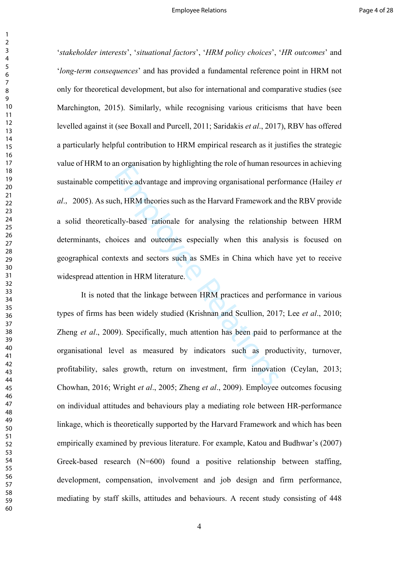Employees and improving organisational perfective advantage and improving organisational perfective advantage and improving organisational perfections ally-based rationale for analysing the relationship bickets and outcome '*stakeholder interests*', '*situational factors*', '*HRM policy choices*', '*HR outcomes*' and '*long-term consequences*' and has provided a fundamental reference point in HRM not only for theoretical development, but also for international and comparative studies (see Marchington, 2015). Similarly, while recognising various criticisms that have been levelled against it (see Boxall and Purcell, 2011; Saridakis *et al*., 2017), RBV has offered a particularly helpful contribution to HRM empirical research as it justifies the strategic value of HRM to an organisation by highlighting the role of human resources in achieving sustainable competitive advantage and improving organisational performance (Hailey *et al* ., 2005). As such, HRM theories such as the Harvard Framework and the RBV provide a solid theoretically-based rationale for analysing the relationship between HRM determinants, choices and outcomes especially when this analysis is focused on geographical contexts and sectors such as SMEs in China which have yet to receive widespread attention in HRM literature.

It is noted that the linkage between HRM practices and performance in various types of firms has been widely studied (Krishnan and Scullion, 2017; Lee *et al*., 2010; Zheng *et al*., 2009). Specifically, much attention has been paid to performance at the organisational level as measured by indicators such as productivity, turnover, profitability, sales growth, return on investment, firm innovation (Ceylan, 2013; Chowhan, 2016; Wright *et al*., 2005; Zheng *et al*., 2009). Employee outcomes focusing on individual attitudes and behaviours play a mediating role between HR-performance linkage, which is theoretically supported by the Harvard Framework and which has been empirically examined by previous literature. For example, Katou and Budhwar's (2007) Greek-based research (N=600) found a positive relationship between staffing, development, compensation, involvement and job design and firm performance, mediating by staff skills, attitudes and behaviours. A recent study consisting of 448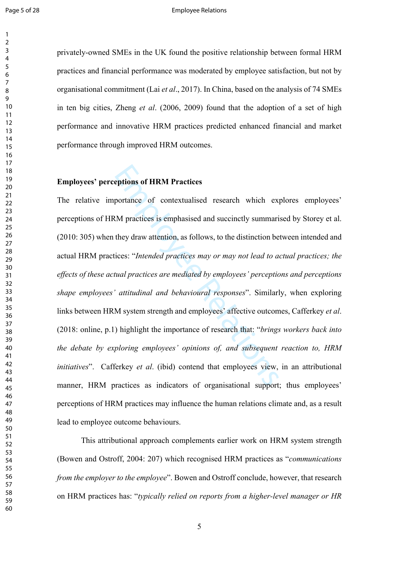#### Page 5 of 28 **Employee Relations**

privately-owned SMEs in the UK found the positive relationship between formal HRM practices and financial performance was moderated by employee satisfaction, but not by organisational commitment (Lai *et al*., 2017). In China, based on the analysis of 74 SMEs in ten big cities, Zheng *et al*. (2006, 2009) found that the adoption of a set of high performance and innovative HRM practices predicted enhanced financial and market performance through improved HRM outcomes.

# **Employees' perceptions of HRM Practices**

**Example 16 FORM Practices**<br>
portance of contextualised research which ex<br>
RM practices is emphasised and succinctly summari<br>
they draw attention, as follows, to the distinction be<br>
ices: "*Intended practices may or may no* The relative importance of contextualised research which explores employees' perceptions of HRM practices is emphasised and succinctly summarised by Storey et al. (2010: 305) when they draw attention, as follows, to the distinction between intended and actual HRM practices: "*Intended practices may or may not lead to actual practices; the effects of these actual practices are mediated by employees' perceptions and perceptions shape employees' attitudinal and behavioural responses*". Similarly, when exploring links between HRM system strength and employees' affective outcomes, Cafferkey *et al*. (2018: online, p.1) highlight the importance of research that: "*brings workers back into the debate by exploring employees' opinions of, and subsequent reaction to, HRM initiatives*". Cafferkey *et al*. (ibid) contend that employees view, in an attributional manner, HRM practices as indicators of organisational support; thus employees' perceptions of HRM practices may influence the human relations climate and, as a result lead to employee outcome behaviours.

This attributional approach complements earlier work on HRM system strength (Bowen and Ostroff, 2004: 207) which recognised HRM practices as "*communications from the employer to the employee*". Bowen and Ostroff conclude, however, that research on HRM practices has: "*typically relied on reports from a higher-level manager or HR*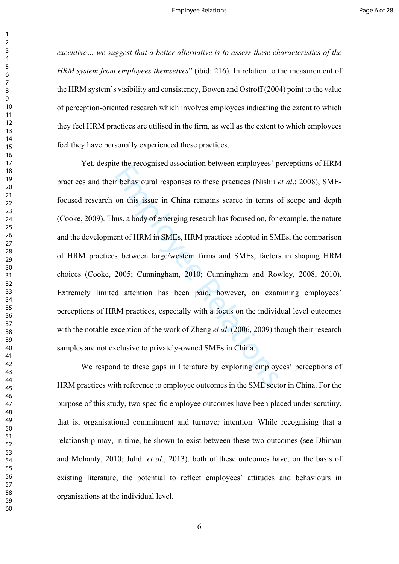*executive… we suggest that a better alternative is to assess these characteristics of the HRM system from employees themselves*" (ibid: 216). In relation to the measurement of the HRM system's visibility and consistency, Bowen and Ostroff (2004) point to the value of perception-oriented research which involves employees indicating the extent to which they feel HRM practices are utilised in the firm, as well as the extent to which employees feel they have personally experienced these practices.

r behavioural responses to these practices (Nishii  $\epsilon$  on this issue in China remains scarce in terms  $\epsilon$  on this issue in China remains scarce in terms  $\epsilon$  outs, a body of emerging research has focused on, for ent of Yet, despite the recognised association between employees' perceptions of HRM practices and their behavioural responses to these practices (Nishii *et al*.; 2008), SMEfocused research on this issue in China remains scarce in terms of scope and depth (Cooke, 2009). Thus, a body of emerging research has focused on, for example, the nature and the development of HRM in SMEs, HRM practices adopted in SMEs, the comparison of HRM practices between large/western firms and SMEs, factors in shaping HRM choices (Cooke, 2005; Cunningham, 2010; Cunningham and Rowley, 2008, 2010). Extremely limited attention has been paid, however, on examining employees' perceptions of HRM practices, especially with a focus on the individual level outcomes with the notable exception of the work of Zheng *et al*. (2006, 2009) though their research samples are not exclusive to privately-owned SMEs in China.

We respond to these gaps in literature by exploring employees' perceptions of HRM practices with reference to employee outcomes in the SME sector in China. For the purpose of this study, two specific employee outcomes have been placed under scrutiny, that is, organisational commitment and turnover intention. While recognising that a relationship may, in time, be shown to exist between these two outcomes (see Dhiman and Mohanty, 2010; Juhdi *et al*., 2013), both of these outcomes have, on the basis of existing literature, the potential to reflect employees' attitudes and behaviours in organisations at the individual level.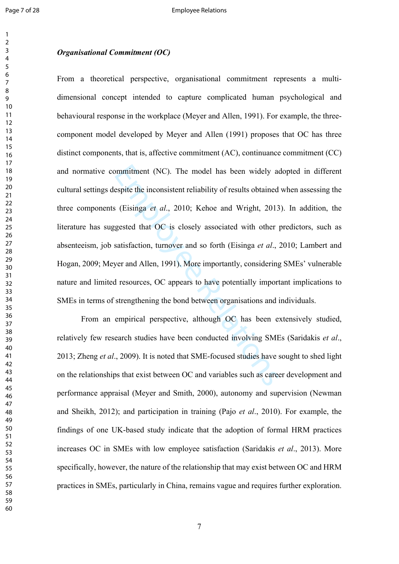# *Organisational Commitment (OC)*

mmitment (NC). The model has been widely a<br>espite the inconsistent reliability of results obtained<br>is (Eisinga *et al.*, 2010; Kehoe and Wright, 2013<br>gested that OC is closely associated with other<br>satisfaction, turnover From a theoretical perspective, organisational commitment represents a multidimensional concept intended to capture complicated human psychological and behavioural response in the workplace (Meyer and Allen, 1991). For example, the threecomponent model developed by Meyer and Allen (1991) proposes that OC has three distinct components, that is, affective commitment (AC), continuance commitment (CC) and normative commitment (NC). The model has been widely adopted in different cultural settings despite the inconsistent reliability of results obtained when assessing the three components (Eisinga *et al*., 2010; Kehoe and Wright, 2013). In addition, the literature has suggested that OC is closely associated with other predictors, such as absenteeism, job satisfaction, turnover and so forth (Eisinga *et al*., 2010; Lambert and Hogan, 2009; Meyer and Allen, 1991). More importantly, considering SMEs' vulnerable nature and limited resources, OC appears to have potentially important implications to SMEs in terms of strengthening the bond between organisations and individuals.

From an empirical perspective, although OC has been extensively studied, relatively few research studies have been conducted involving SMEs (Saridakis *et al*., 2013; Zheng *et al*., 2009). It is noted that SME-focused studies have sought to shed light on the relationships that exist between OC and variables such as career development and performance appraisal (Meyer and Smith, 2000), autonomy and supervision (Newman and Sheikh, 2012); and participation in training (Pajo *et al*., 2010). For example, the findings of one UK-based study indicate that the adoption of formal HRM practices increases OC in SMEs with low employee satisfaction (Saridakis *et al*., 2013). More specifically, however, the nature of the relationship that may exist between OC and HRM practices in SMEs, particularly in China, remains vague and requires further exploration.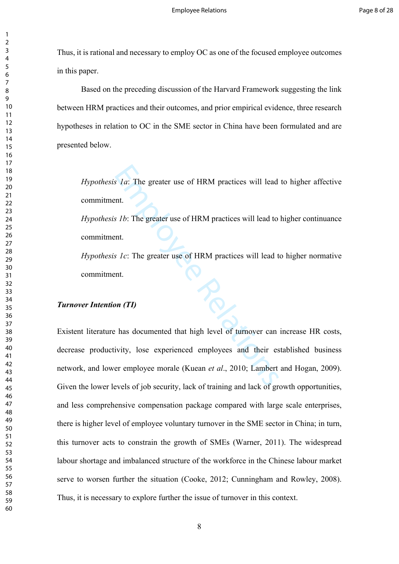Thus, it is rational and necessary to employ OC as one of the focused employee outcomes in this paper.

Based on the preceding discussion of the Harvard Framework suggesting the link between HRM practices and their outcomes, and prior empirical evidence, three research hypotheses in relation to OC in the SME sector in China have been formulated and are presented below.

*Hypothesis 1a*: The greater use of HRM practices will lead to higher affective commitment.

*Hypothesis 1b*: The greater use of HRM practices will lead to higher continuance commitment.

*Hypothesis 1c*: The greater use of HRM practices will lead to higher normative commitment.

# *Turnover Intention (TI)*

S 1a: The greater use of HRM practices will lead<br>that.<br>S 1b: The greater use of HRM practices will lead to<br>that.<br>S 1c: The greater use of HRM practices will lead to<br>that.<br>The star and the star and the star and the star and Existent literature has documented that high level of turnover can increase HR costs, decrease productivity, lose experienced employees and their established business network, and lower employee morale (Kuean *et al*., 2010; Lambert and Hogan, 2009). Given the lower levels of job security, lack of training and lack of growth opportunities, and less comprehensive compensation package compared with large scale enterprises, there is higher level of employee voluntary turnover in the SME sector in China; in turn, this turnover acts to constrain the growth of SMEs (Warner, 2011). The widespread labour shortage and imbalanced structure of the workforce in the Chinese labour market serve to worsen further the situation (Cooke, 2012; Cunningham and Rowley, 2008). Thus, it is necessary to explore further the issue of turnover in this context.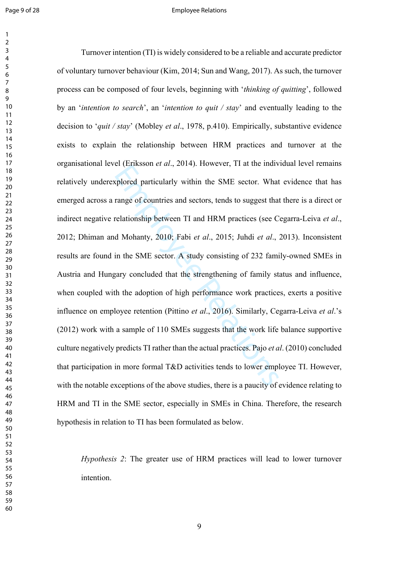#### Page 9 of 28 **Employee Relations**

er (EIRSSon et at., 2014). However, 11 at also mate<br>valored particularly within the SME sector. What<br>range of countries and sectors, tends to suggest tha<br>relationship between TI and HRM practices (see C<br>d Mohanty, 2010; F Turnover intention (TI) is widely considered to be a reliable and accurate predictor of voluntary turnover behaviour (Kim, 2014; Sun and Wang, 2017). As such, the turnover process can be composed of four levels, beginning with '*thinking of quitting*', followed by an '*intention to search*', an '*intention to quit / stay*' and eventually leading to the decision to '*quit / stay*' (Mobley *et al*., 1978, p.410). Empirically, substantive evidence exists to explain the relationship between HRM practices and turnover at the organisational level (Eriksson *et al*., 2014). However, TI at the individual level remains relatively underexplored particularly within the SME sector. What evidence that has emerged across a range of countries and sectors, tends to suggest that there is a direct or indirect negative relationship between TI and HRM practices (see Cegarra-Leiva *et al*., 2012; Dhiman and Mohanty, 2010; Fabi *et al*., 2015; Juhdi *et al*., 2013). Inconsistent results are found in the SME sector. A study consisting of 232 family-owned SMEs in Austria and Hungary concluded that the strengthening of family status and influence, when coupled with the adoption of high performance work practices, exerts a positive influence on employee retention (Pittino *et al*., 2016). Similarly, Cegarra-Leiva *et al*.'s (2012) work with a sample of 110 SMEs suggests that the work life balance supportive culture negatively predicts TI rather than the actual practices. Pajo *et al*. (2010) concluded that participation in more formal T&D activities tends to lower employee TI. However, with the notable exceptions of the above studies, there is a paucity of evidence relating to HRM and TI in the SME sector, especially in SMEs in China. Therefore, the research hypothesis in relation to TI has been formulated as below.

*Hypothesis 2*: The greater use of HRM practices will lead to lower turnover intention.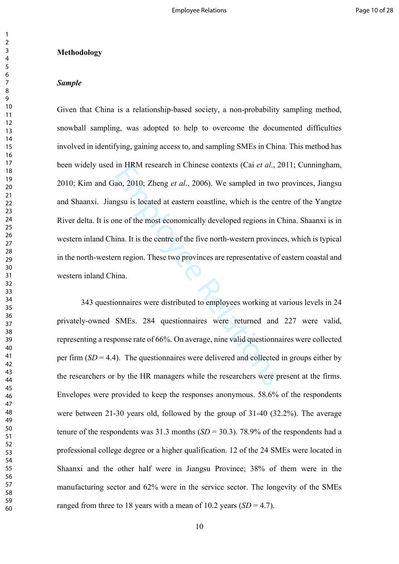#### **Methodology**

### *Sample*

In FIRIM research in Chinese contexts (Cat *et al., 2*<br>ao, 2010; Zheng *et al.*, 2006). We sampled in two<br>agsu is located at eastern coastline, which is the ce<br>ne of the most economically developed regions in C<br>ina. It is Given that China is a relationship-based society, a non-probability sampling method, snowball sampling, was adopted to help to overcome the documented difficulties involved in identifying, gaining access to, and sampling SMEs in China. This method has been widely used in HRM research in Chinese contexts (Cai *et al*., 2011; Cunningham, 2010; Kim and Gao, 2010; Zheng *et al*., 2006). We sampled in two provinces, Jiangsu and Shaanxi. Jiangsu is located at eastern coastline, which is the centre of the Yangtze River delta. It is one of the most economically developed regions in China. Shaanxi is in western inland China. It is the centre of the five north-western provinces, which is typical in the north-western region. These two provinces are representative of eastern coastal and western inland China.

343 questionnaires were distributed to employees working at various levels in 24 privately-owned SMEs. 284 questionnaires were returned and 227 were valid, representing a response rate of 66%. On average, nine valid questionnaires were collected per firm  $(SD = 4.4)$ . The questionnaires were delivered and collected in groups either by the researchers or by the HR managers while the researchers were present at the firms. Envelopes were provided to keep the responses anonymous. 58.6% of the respondents were between 21-30 years old, followed by the group of 31-40 (32.2%). The average tenure of the respondents was  $31.3$  months  $(SD = 30.3)$ .  $78.9\%$  of the respondents had a professional college degree or a higher qualification. 12 of the 24 SMEs were located in Shaanxi and the other half were in Jiangsu Province; 38% of them were in the manufacturing sector and 62% were in the service sector. The longevity of the SMEs ranged from three to 18 years with a mean of 10.2 years  $(SD = 4.7)$ .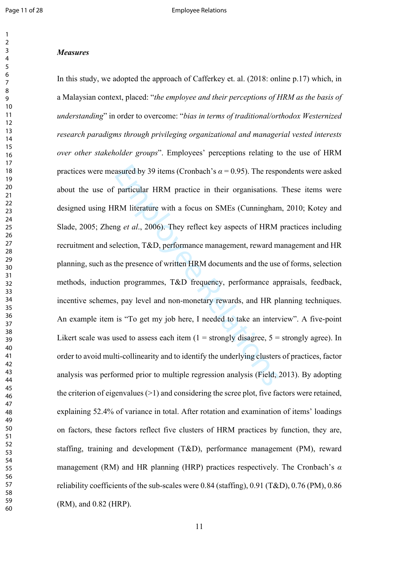#### $\overline{2}$  $\overline{\mathbf{3}}$  $\overline{4}$  $\overline{7}$

 

#### *Measures*

asured by 39 items (Cronbach's  $\alpha$  = 0.95). The resp<br>particular HRM practice in their organisations.<br>RM literature with a focus on SMEs (Cunninghan<br>ng *et al.*, 2006). They reflect key aspects of HRM<br>election, T&D, perfo In this study, we adopted the approach of Cafferkey et. al. (2018: online p.17) which, in a Malaysian context, placed: "*the employee and their perceptions of HRM as the basis of understanding*" in order to overcome: "*bias in terms of traditional/orthodox Westernized research paradigms through privileging organizational and managerial vested interests over other stakeholder groups*". Employees' perceptions relating to the use of HRM practices were measured by 39 items (Cronbach's  $\alpha$  = 0.95). The respondents were asked about the use of particular HRM practice in their organisations. These items were designed using HRM literature with a focus on SMEs (Cunningham, 2010; Kotey and Slade, 2005; Zheng *et al*., 2006). They reflect key aspects of HRM practices including recruitment and selection, T&D, performance management, reward management and HR planning, such as the presence of written HRM documents and the use of forms, selection methods, induction programmes, T&D frequency, performance appraisals, feedback, incentive schemes, pay level and non-monetary rewards, and HR planning techniques. An example item is "To get my job here, I needed to take an interview". A five-point Likert scale was used to assess each item  $(1 =$  strongly disagree,  $5 =$  strongly agree). In order to avoid multi-collinearity and to identify the underlying clusters of practices, factor analysis was performed prior to multiple regression analysis (Field, 2013). By adopting the criterion of eigenvalues (>1) and considering the scree plot, five factors were retained, explaining 52.4% of variance in total. After rotation and examination of items' loadings on factors, these factors reflect five clusters of HRM practices by function, they are, staffing, training and development (T&D), performance management (PM), reward management (RM) and HR planning (HRP) practices respectively. The Cronbach's *α* reliability coefficients of the sub-scales were 0.84 (staffing), 0.91 (T&D), 0.76 (PM), 0.86 (RM), and 0.82 (HRP).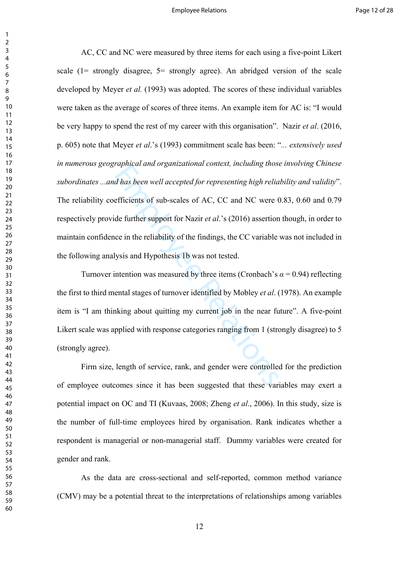*d* has been well accepted for representing high relia<br>d has been well accepted for representing high relia<br>efficients of sub-scales of AC, CC and NC were (<br>de further support for Nazir *et al.*'s (2016) assertion<br>ce in th AC, CC and NC were measured by three items for each using a five-point Likert scale (1= strongly disagree, 5= strongly agree). An abridged version of the scale developed by Meyer *et al.* (1993) was adopted. The scores of these individual variables were taken as the average of scores of three items. An example item for AC is: "I would be very happy to spend the rest of my career with this organisation". Nazir *et al*. (2016, p. 605) note that Meyer *et al*.'s (1993) commitment scale has been: "*... extensively used in numerous geographical and organizational context, including those involving Chinese subordinates ...and has been well accepted for representing high reliability and validity*". The reliability coefficients of sub-scales of AC, CC and NC were 0.83, 0.60 and 0.79 respectively provide further support for Nazir *et al*.'s (2016) assertion though, in order to maintain confidence in the reliability of the findings, the CC variable was not included in the following analysis and Hypothesis 1b was not tested.

Turnover intention was measured by three items (Cronbach's  $\alpha$  = 0.94) reflecting the first to third mental stages of turnover identified by Mobley *et al*. (1978). An example item is "I am thinking about quitting my current job in the near future". A five-point Likert scale was applied with response categories ranging from 1 (strongly disagree) to 5 (strongly agree).

Firm size, length of service, rank, and gender were controlled for the prediction of employee outcomes since it has been suggested that these variables may exert a potential impact on OC and TI (Kuvaas, 2008; Zheng *et al*., 2006). In this study, size is the number of full-time employees hired by organisation. Rank indicates whether a respondent is managerial or non-managerial staff. Dummy variables were created for gender and rank.

As the data are cross-sectional and self-reported, common method variance (CMV) may be a potential threat to the interpretations of relationships among variables

 $\mathbf{1}$  $\overline{2}$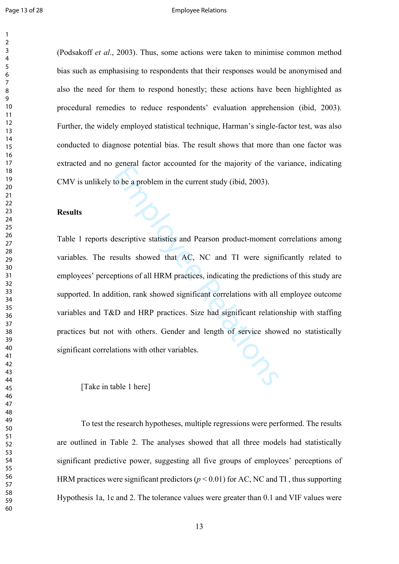#### Page 13 of 28 **Employee Relations**

(Podsakoff *et al*., 2003). Thus, some actions were taken to minimise common method bias such as emphasising to respondents that their responses would be anonymised and also the need for them to respond honestly; these actions have been highlighted as procedural remedies to reduce respondents' evaluation apprehension (ibid, 2003). Further, the widely employed statistical technique, Harman's single-factor test, was also conducted to diagnose potential bias. The result shows that more than one factor was extracted and no general factor accounted for the majority of the variance, indicating CMV is unlikely to be a problem in the current study (ibid, 2003).

#### **Results**

colonial factor accounted for the majority of the victorial factor accounted for the majority of the victory of the victorial server in the current study (ibid, 2003).<br>
escriptive statistics and Pearson product-moment<br>
esc Table 1 reports descriptive statistics and Pearson product-moment correlations among variables. The results showed that AC, NC and TI were significantly related to employees' perceptions of all HRM practices, indicating the predictions of this study are supported. In addition, rank showed significant correlations with all employee outcome variables and T&D and HRP practices. Size had significant relationship with staffing practices but not with others. Gender and length of service showed no statistically significant correlations with other variables.

[Take in table 1 here]

To test the research hypotheses, multiple regressions were performed. The results are outlined in Table 2. The analyses showed that all three models had statistically significant predictive power, suggesting all five groups of employees' perceptions of HRM practices were significant predictors ( $p < 0.01$ ) for AC, NC and TI, thus supporting Hypothesis 1a, 1c and 2. The tolerance values were greater than 0.1 and VIF values were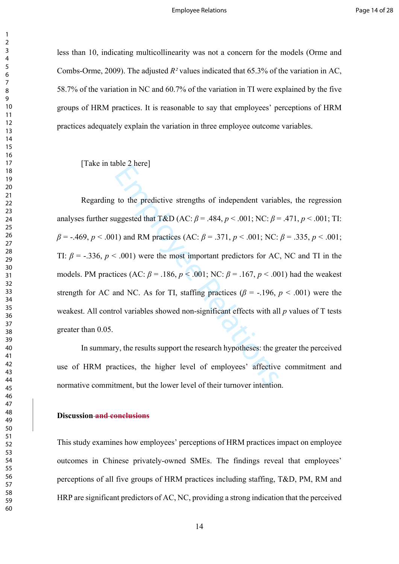less than 10, indicating multicollinearity was not a concern for the models (Orme and Combs-Orme, 2009). The adjusted *R²* values indicated that 65.3% of the variation in AC, 58.7% of the variation in NC and 60.7% of the variation in TI were explained by the five groups of HRM practices. It is reasonable to say that employees' perceptions of HRM practices adequately explain the variation in three employee outcome variables.

[Take in table 2 here]

to the predictive strengths of independent variat<br>uggested that T&D (AC:  $\beta$  = .484,  $p$  < .001; NC:  $\beta$  =<br>1) and RM practices (AC:  $\beta$  = .371,  $p$  < .001; NC:<br>5. .001) were the most important predictors for AC<br>ices (A Regarding to the predictive strengths of independent variables, the regression analyses further suggested that  $T&D$  (AC:  $\beta = .484$ ,  $p < .001$ ; NC:  $\beta = .471$ ,  $p < .001$ ; TI:  $\beta$  = -.469,  $p < .001$ ) and RM practices (AC:  $\beta$  = .371,  $p < .001$ ; NC:  $\beta$  = .335,  $p < .001$ ; TI:  $\beta$  = -.336,  $p$  < .001) were the most important predictors for AC, NC and TI in the models. PM practices (AC:  $\beta$  = .186,  $p$  < .001; NC:  $\beta$  = .167,  $p$  < .001) had the weakest strength for AC and NC. As for TI, staffing practices  $(\beta = -196, p < .001)$  were the weakest. All control variables showed non-significant effects with all *p* values of T tests greater than 0.05.

In summary, the results support the research hypotheses: the greater the perceived use of HRM practices, the higher level of employees' affective commitment and normative commitment, but the lower level of their turnover intention.

## **Discussion and conclusions**

This study examines how employees' perceptions of HRM practices impact on employee outcomes in Chinese privately-owned SMEs. The findings reveal that employees' perceptions of all five groups of HRM practices including staffing, T&D, PM, RM and HRP are significant predictors of AC, NC, providing a strong indication that the perceived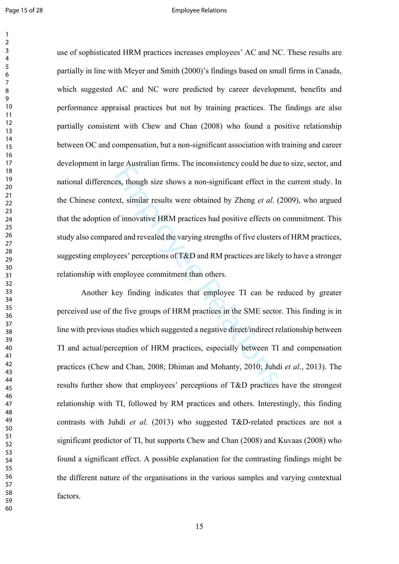#### Page 15 of 28 and 20 Employee Relations

es, though size shows a non-significant effect in the set, though size shows a non-significant effect in the set, similar results were obtained by Zheng *et al.* (of innovative HRM practices had positive effects or ed and use of sophisticated HRM practices increases employees' AC and NC. These results are partially in line with Meyer and Smith (2000)'s findings based on small firms in Canada, which suggested AC and NC were predicted by career development, benefits and performance appraisal practices but not by training practices. The findings are also partially consistent with Chew and Chan (2008) who found a positive relationship between OC and compensation, but a non-significant association with training and career development in large Australian firms. The inconsistency could be due to size, sector, and national differences, though size shows a non-significant effect in the current study. In the Chinese context, similar results were obtained by Zheng *et al*. (2009), who argued that the adoption of innovative HRM practices had positive effects on commitment. This study also compared and revealed the varying strengths of five clusters of HRM practices, suggesting employees' perceptions of T&D and RM practices are likely to have a stronger relationship with employee commitment than others.

Another key finding indicates that employee TI can be reduced by greater perceived use of the five groups of HRM practices in the SME sector. This finding is in line with previous studies which suggested a negative direct/indirect relationship between TI and actual/perception of HRM practices, especially between TI and compensation practices (Chew and Chan, 2008; Dhiman and Mohanty, 2010; Juhdi *et al*., 2013). The results further show that employees' perceptions of T&D practices have the strongest relationship with TI, followed by RM practices and others. Interestingly, this finding contrasts with Juhdi *et al*. (2013) who suggested T&D-related practices are not a significant predictor of TI, but supports Chew and Chan (2008) and Kuvaas (2008) who found a significant effect. A possible explanation for the contrasting findings might be the different nature of the organisations in the various samples and varying contextual factors.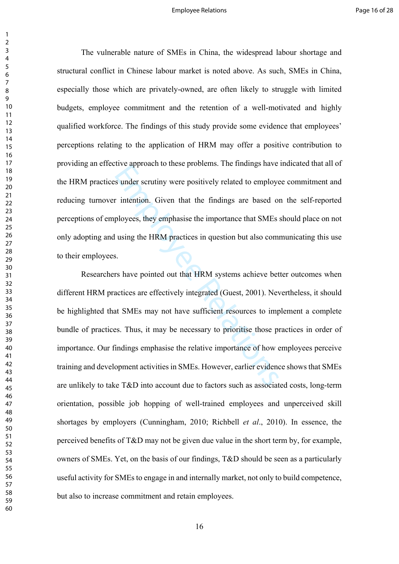The vulnerable nature of SMEs in China, the widespread labour shortage and structural conflict in Chinese labour market is noted above. As such, SMEs in China, especially those which are privately-owned, are often likely to struggle with limited budgets, employee commitment and the retention of a well-motivated and highly qualified workforce. The findings of this study provide some evidence that employees' perceptions relating to the application of HRM may offer a positive contribution to providing an effective approach to these problems. The findings have indicated that all of the HRM practices under scrutiny were positively related to employee commitment and reducing turnover intention. Given that the findings are based on the self-reported perceptions of employees, they emphasise the importance that SMEs should place on not only adopting and using the HRM practices in question but also communicating this use to their employees.

Example 18 and the maintings have<br>
Sunder scrutiny were positively related to employer<br>
intention. Given that the findings are based of<br>
ployees, they emphasise the importance that SMEs<br>
I using the HRM practices in questi Researchers have pointed out that HRM systems achieve better outcomes when different HRM practices are effectively integrated (Guest, 2001). Nevertheless, it should be highlighted that SMEs may not have sufficient resources to implement a complete bundle of practices. Thus, it may be necessary to prioritise those practices in order of importance. Our findings emphasise the relative importance of how employees perceive training and development activities in SMEs. However, earlier evidence shows that SMEs are unlikely to take T&D into account due to factors such as associated costs, long-term orientation, possible job hopping of well-trained employees and unperceived skill shortages by employers (Cunningham, 2010; Richbell *et al*., 2010). In essence, the perceived benefits of T&D may not be given due value in the short term by, for example, owners of SMEs. Yet, on the basis of our findings, T&D should be seen as a particularly useful activity for SMEs to engage in and internally market, not only to build competence, but also to increase commitment and retain employees.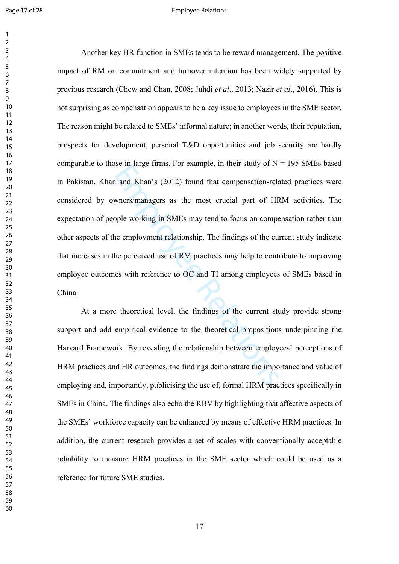#### Page 17 of 28 **Employee Relations**

See in large Hinlis. For example, in their staty of N<br>and Khan's (2012) found that compensation-relations<br>where S/managers as the most crucial part of HF<br>opple working in SMEs may tend to focus on competent employment rela Another key HR function in SMEs tends to be reward management. The positive impact of RM on commitment and turnover intention has been widely supported by previous research (Chew and Chan, 2008; Juhdi *et al*., 2013; Nazir *et al*., 2016). This is not surprising as compensation appears to be a key issue to employees in the SME sector. The reason might be related to SMEs' informal nature; in another words, their reputation, prospects for development, personal T&D opportunities and job security are hardly comparable to those in large firms. For example, in their study of  $N = 195$  SMEs based in Pakistan, Khan and Khan's (2012) found that compensation-related practices were considered by owners/managers as the most crucial part of HRM activities. The expectation of people working in SMEs may tend to focus on compensation rather than other aspects of the employment relationship. The findings of the current study indicate that increases in the perceived use of RM practices may help to contribute to improving employee outcomes with reference to OC and TI among employees of SMEs based in China.

At a more theoretical level, the findings of the current study provide strong support and add empirical evidence to the theoretical propositions underpinning the Harvard Framework. By revealing the relationship between employees' perceptions of HRM practices and HR outcomes, the findings demonstrate the importance and value of employing and, importantly, publicising the use of, formal HRM practices specifically in SMEs in China. The findings also echo the RBV by highlighting that affective aspects of the SMEs' workforce capacity can be enhanced by means of effective HRM practices. In addition, the current research provides a set of scales with conventionally acceptable reliability to measure HRM practices in the SME sector which could be used as a reference for future SME studies.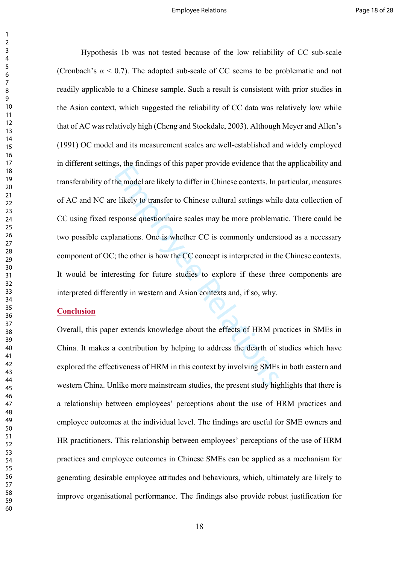Employee the ended are likely to differ in Chinese contexts. In p<br>
E likely to transfer to Chinese cultural settings whil<br>
sponse questionnaire scales may be more problema<br>
anations. One is whether CC is commonly underst<br> Hypothesis 1b was not tested because of the low reliability of CC sub-scale (Cronbach's  $\alpha$  < 0.7). The adopted sub-scale of CC seems to be problematic and not readily applicable to a Chinese sample. Such a result is consistent with prior studies in the Asian context, which suggested the reliability of CC data was relatively low while that of AC was relatively high (Cheng and Stockdale, 2003). Although Meyer and Allen's (1991) OC model and its measurement scales are well-established and widely employed in different settings, the findings of this paper provide evidence that the applicability and transferability of the model are likely to differ in Chinese contexts. In particular, measures of AC and NC are likely to transfer to Chinese cultural settings while data collection of CC using fixed response questionnaire scales may be more problematic. There could be two possible explanations. One is whether CC is commonly understood as a necessary component of OC; the other is how the CC concept is interpreted in the Chinese contexts. It would be interesting for future studies to explore if these three components are interpreted differently in western and Asian contexts and, if so, why.

# **Conclusion**

Overall, this paper extends knowledge about the effects of HRM practices in SMEs in China. It makes a contribution by helping to address the dearth of studies which have explored the effectiveness of HRM in this context by involving SMEs in both eastern and western China. Unlike more mainstream studies, the present study highlights that there is a relationship between employees' perceptions about the use of HRM practices and employee outcomes at the individual level. The findings are useful for SME owners and HR practitioners. This relationship between employees' perceptions of the use of HRM practices and employee outcomes in Chinese SMEs can be applied as a mechanism for generating desirable employee attitudes and behaviours, which, ultimately are likely to improve organisational performance. The findings also provide robust justification for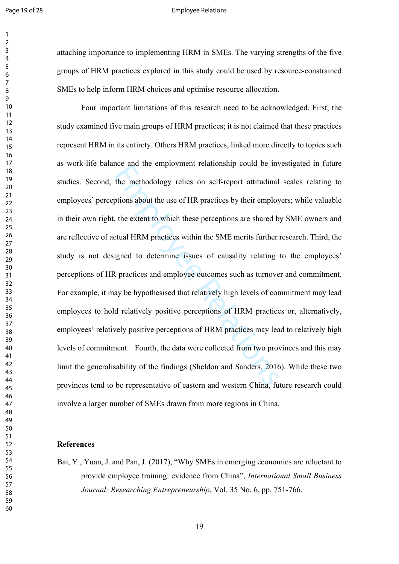#### Page 19 of 28 and 20 and 20 and 20 and 20 and 20 and 20 and 20 and 20 and 20 and 20 and 20 and 20 and 20 and 20 and 20 and 20 and 20 and 20 and 20 and 20 and 20 and 20 and 20 and 20 and 20 and 20 and 20 and 20 and 20 and 2

  attaching importance to implementing HRM in SMEs. The varying strengths of the five groups of HRM practices explored in this study could be used by resource-constrained SMEs to help inform HRM choices and optimise resource allocation.

the methodology relies on self-report attitudinal<br>the methodology relies on self-report attitudinal<br>ptions about the use of HR practices by their employ<br>tual HRM practices within the SME merits further<br>trained to determine Four important limitations of this research need to be acknowledged. First, the study examined five main groups of HRM practices; it is not claimed that these practices represent HRM in its entirety. Others HRM practices, linked more directly to topics such as work-life balance and the employment relationship could be investigated in future studies. Second, the methodology relies on self-report attitudinal scales relating to employees' perceptions about the use of HR practices by their employers; while valuable in their own right, the extent to which these perceptions are shared by SME owners and are reflective of actual HRM practices within the SME merits further research. Third, the study is not designed to determine issues of causality relating to the employees' perceptions of HR practices and employee outcomes such as turnover and commitment. For example, it may be hypothesised that relatively high levels of commitment may lead employees to hold relatively positive perceptions of HRM practices or, alternatively, employees' relatively positive perceptions of HRM practices may lead to relatively high levels of commitment. Fourth, the data were collected from two provinces and this may limit the generalisability of the findings (Sheldon and Sanders, 2016). While these two provinces tend to be representative of eastern and western China, future research could involve a larger number of SMEs drawn from more regions in China.

# **References**

Bai, Y., Yuan, J. and Pan, J. (2017), "Why SMEs in emerging economies are reluctant to provide employee training: evidence from China", *International Small Business Journal: Researching Entrepreneurship*, Vol. 35 No. 6, pp. 751-766.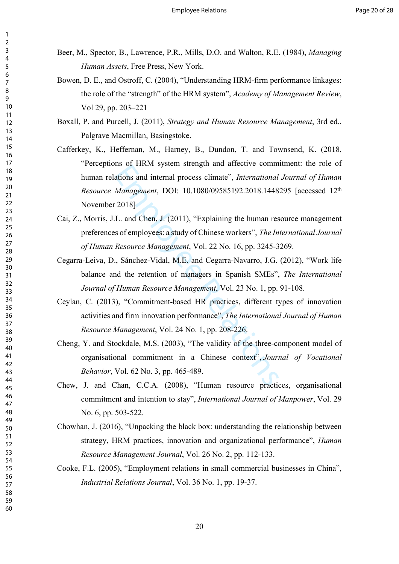- Beer, M., Spector, B., Lawrence, P.R., Mills, D.O. and Walton, R.E. (1984), *Managing Human Assets*, Free Press, New York.
- Bowen, D. E., and Ostroff, C. (2004), "Understanding HRM-firm performance linkages: the role of the "strength" of the HRM system", *Academy of Management Review*, Vol 29, pp. 203–221
- Boxall, P. and Purcell, J. (2011), *Strategy and Human Resource Management*, 3rd ed., Palgrave Macmillan, Basingstoke.
- Ins of TREW system stength and affective commutations and internal process climate", *International*<br> *Management*, DOI: 10.1080/09585192.2018.1448<br>
2018]<br>
L. and Chen, J. (2011), "Explaining the human res<br>
sof employees: Cafferkey, K., Heffernan, M., Harney, B., Dundon, T. and Townsend, K. (2018, "Perceptions of HRM system strength and affective commitment: the role of human relations and internal process climate", *International Journal of Human Resource Management*, DOI: 10.1080/09585192.2018.1448295 [accessed 12th November 2018]
- Cai, Z., Morris, J.L. and Chen, J. (2011), "Explaining the human resource management preferences of employees: a study of Chinese workers", *The International Journal of Human Resource Management*, Vol. 22 No. 16, pp. 3245-3269.
- Cegarra-Leiva, D., Sánchez-Vidal, M.E. and Cegarra-Navarro, J.G. (2012), "Work life balance and the retention of managers in Spanish SMEs", *The International Journal of Human Resource Management*, Vol. 23 No. 1, pp. 91-108.
- Ceylan, C. (2013), "Commitment-based HR practices, different types of innovation activities and firm innovation performance", *The International Journal of Human Resource Management*, Vol. 24 No. 1, pp. 208-226.
- Cheng, Y. and Stockdale, M.S. (2003), "The validity of the three-component model of organisational commitment in a Chinese context", *Journal of Vocational Behavior*, Vol. 62 No. 3, pp. 465-489.
- Chew, J. and Chan, C.C.A. (2008), "Human resource practices, organisational commitment and intention to stay", *International Journal of Manpower*, Vol. 29 No. 6, pp. 503-522.
- Chowhan, J. (2016), "Unpacking the black box: understanding the relationship between strategy, HRM practices, innovation and organizational performance", *Human Resource Management Journal*, Vol. 26 No. 2, pp. 112-133.
- Cooke, F.L. (2005), "Employment relations in small commercial businesses in China", *Industrial Relations Journal*, Vol. 36 No. 1, pp. 19-37.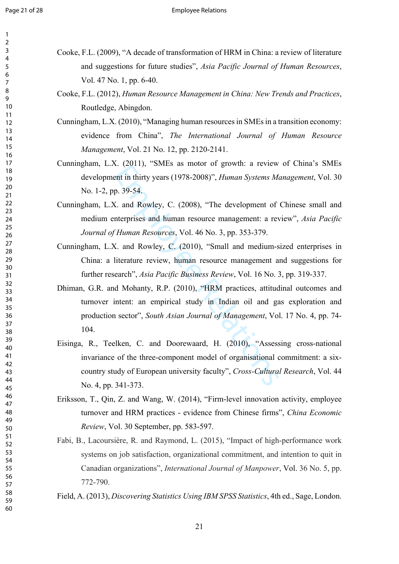| 1                            |  |
|------------------------------|--|
| 2                            |  |
| 3                            |  |
| 4                            |  |
| 5                            |  |
| 6                            |  |
|                              |  |
| 8                            |  |
| )<br>ι                       |  |
| 10                           |  |
| 11                           |  |
| $\mathbf{1}$<br>2            |  |
| $\overline{13}$              |  |
| 1<br>4                       |  |
| 15                           |  |
| 16                           |  |
| 1                            |  |
|                              |  |
| 18                           |  |
| 19                           |  |
| 20                           |  |
| $\overline{21}$              |  |
| $\overline{2}$<br>2          |  |
| $\overline{2}$<br>3          |  |
| $\frac{24}{3}$               |  |
| 25                           |  |
| 26                           |  |
| $^{27}$                      |  |
| 28                           |  |
| 9<br>$\overline{2}$          |  |
| 30                           |  |
| $\overline{\textbf{3}}$      |  |
| $\overline{\mathbf{3}}$<br>2 |  |
| $\overline{\mathbf{3}}$<br>ξ |  |
| $\frac{34}{3}$               |  |
| 35                           |  |
| 36                           |  |
| 37                           |  |
| 88                           |  |
| 39                           |  |
|                              |  |
| 40                           |  |
| 41                           |  |
| 42                           |  |
| 43                           |  |
| 44                           |  |
| 45                           |  |
| 46                           |  |
| 47                           |  |
| 48                           |  |
| 49                           |  |
| 50                           |  |
| 51                           |  |
| 5.<br>$\overline{c}$         |  |
| 5:<br>ξ                      |  |
| 54                           |  |
| 55                           |  |
| 56                           |  |
| 57                           |  |
| 58                           |  |
|                              |  |

59 60 Cooke, F.L. (2009), "A decade of transformation of HRM in China: a review of literature and suggestions for future studies", *Asia Pacific Journal of Human Resources*, Vol. 47 No. 1, pp. 6-40.

Cooke, F.L. (2012), *Human Resource Management in China: New Trends and Practices*, Routledge, Abingdon.

Cunningham, L.X. (2010), "Managing human resources in SMEs in a transition economy: evidence from China", *The International Journal of Human Resource Management*, Vol. 21 No. 12, pp. 2120-2141.

- Cunningham, L.X. (2011), "SMEs as motor of growth: a review of China's SMEs development in thirty years (1978-2008)", *Human Systems Management*, Vol. 30 No. 1-2, pp. 39-54.
- Cunningham, L.X. and Rowley, C. (2008), "The development of Chinese small and medium enterprises and human resource management: a review", *Asia Pacific Journal of Human Resources*, Vol. 46 No. 3, pp. 353-379.
- Cunningham, L.X. and Rowley, C. (2010), "Small and medium-sized enterprises in China: a literature review, human resource management and suggestions for further research", *Asia Pacific Business Review*, Vol. 16 No. 3, pp. 319-337.
- E. (2011), SNES as motel of growth: a review<br>ent in thirty years (1978-2008)", *Human Systems Me*<br>p. 39-54.<br>Z. and Rowley, C. (2008), "The development of<br>nterprises and human resource management: a rev<br>*Human Resources*, Dhiman, G.R. and Mohanty, R.P. (2010), "HRM practices, attitudinal outcomes and turnover intent: an empirical study in Indian oil and gas exploration and production sector", *South Asian Journal of Management*, Vol. 17 No. 4, pp. 74- 104.
- Eisinga, R., Teelken, C. and Doorewaard, H. (2010), "Assessing cross-national invariance of the three-component model of organisational commitment: a sixcountry study of European university faculty", *Cross-Cultural Research*, Vol. 44 No. 4, pp. 341-373.
- Eriksson, T., Qin, Z. and Wang, W. (2014), "Firm-level innovation activity, employee turnover and HRM practices - evidence from Chinese firms", *China Economic Review*, Vol. 30 September, pp. 583-597.
- Fabi, B., Lacoursière, R. and Raymond, L. (2015), "Impact of high-performance work systems on job satisfaction, organizational commitment, and intention to quit in Canadian organizations", *International Journal of Manpower* , Vol. 36 No. 5, pp. 772-790.

Field, A. (2013), *Discovering Statistics Using IBM SPSS Statistics*, 4th ed., Sage, London.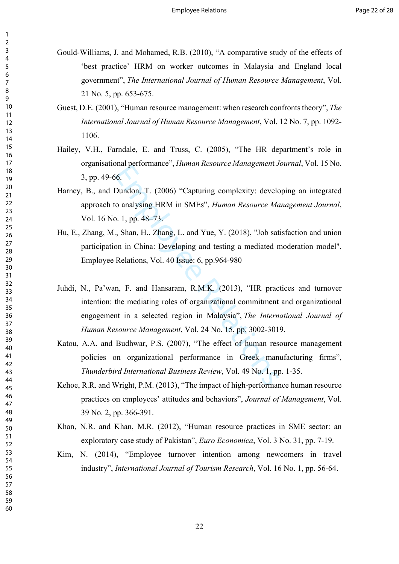- Gould-Williams, J. and Mohamed, R.B. (2010), "A comparative study of the effects of 'best practice' HRM on worker outcomes in Malaysia and England local government", *The International Journal of Human Resource Management*, Vol. 21 No. 5, pp. 653-675.
- Guest, D.E. (2001), "Human resource management: when research confronts theory", *The International Journal of Human Resource Management*, Vol. 12 No. 7, pp. 1092- 1106.
- Hailey, V.H., Farndale, E. and Truss, C. (2005), "The HR department's role in organisational performance", *Human Resource Managemen*t *Journal*, Vol. 15 No. 3, pp. 49-66.
- Harney, B., and Dundon, T. (2006) "Capturing complexity: developing an integrated approach to analysing HRM in SMEs", *Human Resource Management Journal*, Vol. 16 No. 1, pp. 48–73.
- Hu, E., Zhang, M., Shan, H., Zhang, L. and Yue, Y. (2018), "Job satisfaction and union participation in China: Developing and testing a mediated moderation model", Employee Relations, Vol. 40 Issue: 6, pp.964-980
- Man performance *(Framan Resource Managements*)<br>6.<br>Dundon, T. (2006) "Capturing complexity: develo<br>co analysing HRM in SMEs", *Human Resource Md*<br>0. 1, pp. 48–73.<br>., Shan, H., Zhang, L. and Yue, Y. (2018), "Job sat<br>on in C Juhdi, N., Pa'wan, F. and Hansaram, R.M.K. (2013), "HR practices and turnover intention: the mediating roles of organizational commitment and organizational engagement in a selected region in Malaysia", *The International Journal of Human Resource Management*, Vol. 24 No. 15, pp. 3002-3019.
- Katou, A.A. and Budhwar, P.S. (2007), "The effect of human resource management policies on organizational performance in Greek manufacturing firms", *Thunderbird International Business Review*, Vol. 49 No. 1, pp. 1-35.
- Kehoe, R.R. and Wright, P.M. (2013), "The impact of high-performance human resource practices on employees' attitudes and behaviors", *Journal of Management*, Vol. 39 No. 2, pp. 366-391.
- Khan, N.R. and Khan, M.R. (2012), "Human resource practices in SME sector: an exploratory case study of Pakistan", *Euro Economica*, Vol. 3 No. 31, pp. 7-19.
- Kim, N. (2014), "Employee turnover intention among newcomers in travel industry", *International Journal of Tourism Research*, Vol. 16 No. 1, pp. 56-64.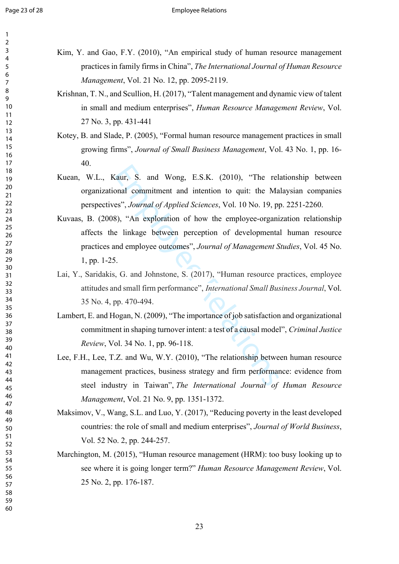| 1                                 |  |  |
|-----------------------------------|--|--|
| $\overline{\mathbf{c}}$           |  |  |
|                                   |  |  |
| 3<br>4                            |  |  |
| 5                                 |  |  |
| 6<br>7                            |  |  |
|                                   |  |  |
| 8                                 |  |  |
| 9                                 |  |  |
| 10                                |  |  |
| 11                                |  |  |
| $\overline{12}$                   |  |  |
| $\overline{1}3$<br>$\frac{14}{5}$ |  |  |
| 15                                |  |  |
| 16                                |  |  |
| 17                                |  |  |
| 18                                |  |  |
| 19                                |  |  |
| 20                                |  |  |
|                                   |  |  |
|                                   |  |  |
|                                   |  |  |
|                                   |  |  |
|                                   |  |  |
| 21 22 23 24 5 26 27               |  |  |
|                                   |  |  |
| 28<br>29                          |  |  |
| 30                                |  |  |
| 31                                |  |  |
| 32                                |  |  |
| 33                                |  |  |
| 34                                |  |  |
| 35                                |  |  |
| 36                                |  |  |
| 37                                |  |  |
| 38                                |  |  |
| 39                                |  |  |
| 40                                |  |  |
| 41                                |  |  |
| 42                                |  |  |
| 43<br>44                          |  |  |
| 45                                |  |  |
| 46                                |  |  |
| 47                                |  |  |
| 48                                |  |  |
| 49                                |  |  |
| 50                                |  |  |
| 51                                |  |  |
| 52                                |  |  |
| 53                                |  |  |
| 54                                |  |  |
| 55                                |  |  |
| 56                                |  |  |
| 57                                |  |  |
| 58                                |  |  |
| 59                                |  |  |

- Kim, Y. and Gao, F.Y. (2010), "An empirical study of human resource management practices in family firms in China", *The International Journal of Human Resource Management*, Vol. 21 No. 12, pp. 2095-2119.
- Krishnan, T. N., and Scullion, H. (2017), "Talent management and dynamic view of talent in small and medium enterprises", *Human Resource Management Review*, Vol. 27 No. 3, pp. 431-441
- Kotey, B. and Slade, P. (2005), "Formal human resource management practices in small growing firms", *Journal of Small Business Management*, Vol. 43 No. 1, pp. 16- 40.
- Kuean, W.L., Kaur, S. and Wong, E.S.K. (2010), "The relationship between organizational commitment and intention to quit: the Malaysian companies perspectives", *Journal of Applied Sciences*, Vol. 10 No. 19, pp. 2251-2260.
- Chainty S. and Wong, E.S.K. (2010), "The relation to antitation to quitter the Manusom Chaints and intention to quitter the Manusom S), "An exploration of how the employee-organize linkage between perception of developmen Kuvaas, B. (2008), "An exploration of how the employee-organization relationship affects the linkage between perception of developmental human resource practices and employee outcomes", *Journal of Management Studies*, Vol. 45 No. 1, pp. 1-25.
- Lai, Y., Saridakis, G. and Johnstone, S. (2017), "Human resource practices, employee attitudes and small firm performance", *International Small Business Journal*, Vol. 35 No. 4, pp. 470-494.
- Lambert, E. and Hogan, N. (2009), "The importance of job satisfaction and organizational commitment in shaping turnover intent: a test of a causal model", *Criminal Justice Review*, Vol. 34 No. 1, pp. 96-118.
- Lee, F.H., Lee, T.Z. and Wu, W.Y. (2010), "The relationship between human resource management practices, business strategy and firm performance: evidence from steel industry in Taiwan", *The International Journal of Human Resource Management*, Vol. 21 No. 9, pp. 1351-1372.
- Maksimov, V., Wang, S.L. and Luo, Y. (2017), "Reducing poverty in the least developed countries: the role of small and medium enterprises", *Journal of World Business*, Vol. 52 No. 2, pp. 244-257.
- Marchington, M. (2015), "Human resource management (HRM): too busy looking up to see where it is going longer term?" *Human Resource Management Review*, Vol. 25 No. 2, pp. 176-187.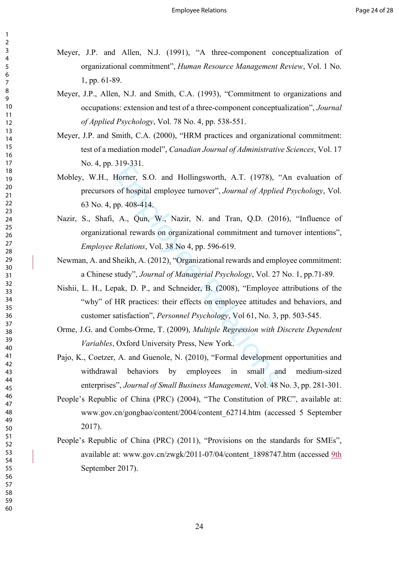- Meyer, J.P. and Allen, N.J. (1991), "A three-component conceptualization of organizational commitment", *Human Resource Management Review*, Vol. 1 No. 1, pp. 61-89.
- Meyer, J.P., Allen, N.J. and Smith, C.A. (1993), "Commitment to organizations and occupations: extension and test of a three-component conceptualization", *Journal of Applied Psychology*, Vol. 78 No. 4, pp. 538-551.
- Meyer, J.P. and Smith, C.A. (2000), "HRM practices and organizational commitment: test of a mediation model", *Canadian Journal of Administrative Sciences*, Vol. 17 No. 4, pp. 319-331.
- Mobley, W.H., Horner, S.O. and Hollingsworth, A.T. (1978), "An evaluation of precursors of hospital employee turnover", *Journal of Applied Psychology*, Vol. 63 No. 4, pp. 408-414.
- Horner, S.O. and Hollingsworth, A.T. (1978), of hospital employee turnover", *Journal of Applie*<br>pp. 408-414.<br>A., Qun, W., Nazir, N. and Tran, Q.D. (20<br>onal rewards on organizational commitment and to<br>*Relations*, Vol. 38 Nazir, S., Shafi, A., Qun, W., Nazir, N. and Tran, Q.D. (2016), "Influence of organizational rewards on organizational commitment and turnover intentions", *Employee Relations*, Vol. 38 No 4, pp. 596-619.
- Newman, A. and Sheikh, A. (2012), "Organizational rewards and employee commitment: a Chinese study", *Journal of Managerial Psychology*, Vol. 27 No. 1, pp.71-89.
- Nishii, L. H., Lepak, D. P., and Schneider, B. (2008), "Employee attributions of the "why" of HR practices: their effects on employee attitudes and behaviors, and customer satisfaction", *Personnel Psychology*, Vol 61, No. 3, pp. 503-545.
- Orme, J.G. and Combs-Orme, T. (2009), *Multiple Regression with Discrete Dependent Variables*, Oxford University Press, New York.
- Pajo, K., Coetzer, A. and Guenole, N. (2010), "Formal development opportunities and withdrawal behaviors by employees in small and medium-sized enterprises", *Journal of Small Business Management*, Vol. 48 No. 3, pp. 281-301.
- People's Republic of China (PRC) (2004), "The Constitution of PRC", available at: [www.gov.cn/gongbao/content/2004/content\\_62714.htm](http://www.gov.cn/gongbao/content/2004/content_62714.htm) (accessed 5 September 2017).
- People's Republic of China (PRC) (2011), "Provisions on the standards for SMEs", available at: [www.gov.cn/zwgk/2011-07/04/content\\_1898747.htm](http://www.gov.cn/zwgk/2011-07/04/content_1898747.htm) (accessed 9th September 2017).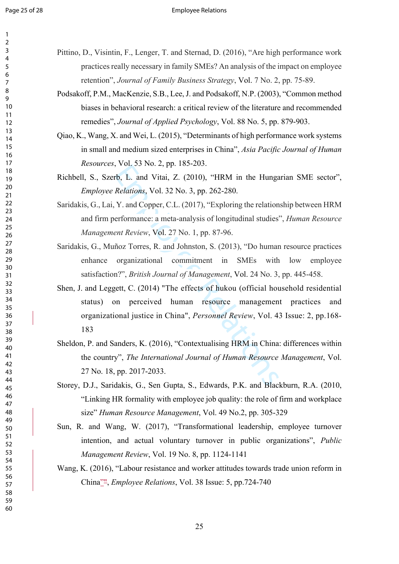| 1               |  |
|-----------------|--|
| 2               |  |
| 3               |  |
| 4               |  |
| 5               |  |
| 6               |  |
|                 |  |
| 8               |  |
| 9               |  |
| 10              |  |
| 11              |  |
| 12              |  |
| 13              |  |
| $\overline{14}$ |  |
| 15              |  |
| 16              |  |
| 1               |  |
| 18              |  |
| 19              |  |
| 20              |  |
| $\overline{21}$ |  |
| $\overline{22}$ |  |
| 23              |  |
| 24              |  |
| 25              |  |
| 26              |  |
| 27              |  |
| 28              |  |
| 29              |  |
| 30              |  |
| 31              |  |
| 32              |  |
| 33              |  |
| 34              |  |
| 35              |  |
| 36              |  |
| 37              |  |
| R۶              |  |
| 39              |  |
| 40              |  |
| 41              |  |
| 42              |  |
| 43              |  |
| 44              |  |
| 45              |  |
|                 |  |
| 46              |  |
| 47              |  |
| 48              |  |
| 49              |  |
| 50              |  |
| 51              |  |
| 52              |  |
| 53              |  |
| 54              |  |
| 55              |  |
| 56              |  |
| 57              |  |
| 58              |  |
| 59              |  |

- Pittino, D., Visintin, F., Lenger, T. and Sternad, D. (2016), "Are high performance work practices really necessary in family SMEs? An analysis of the impact on employee retention", *Journal of Family Business Strategy*, Vol. 7 No. 2, pp. 75-89.
- Podsakoff, P.M., MacKenzie, S.B., Lee, J. and Podsakoff, N.P. (2003), "Common method biases in behavioral research: a critical review of the literature and recommended remedies", *Journal of Applied Psychology*, Vol. 88 No. 5, pp. 879-903.
- Qiao, K., Wang, X. and Wei, L. (2015), "Determinants of high performance work systems in small and medium sized enterprises in China", *Asia Pacific Journal of Human Resources*, Vol. 53 No. 2, pp. 185-203.
- Richbell, S., Szerb, L. and Vitai, Z. (2010), "HRM in the Hungarian SME sector", *Employee Relations*, Vol. 32 No. 3, pp. 262-280.
- Saridakis, G., Lai, Y. and Copper, C.L. (2017), "Exploring the relationship between HRM and firm performance: a meta-analysis of longitudinal studies", *Human Resource Management Review*, Vol. 27 No. 1, pp. 87-96.
- Saridakis, G., Muñoz Torres, R. and Johnston, S. (2013), "Do human resource practices enhance organizational commitment in SMEs with low employee satisfaction?", *British Journal of Management*, Vol. 24 No. 3, pp. 445-458.
- 1997 vol. 25 1 (2010), "HRM in the Hunga<br>
Relations, Vol. 32 No. 3, pp. 262-280.<br>
Y. and Copper, C.L. (2017), "Exploring the relation<br>
erformance: a meta-analysis of longitudinal studies<br> *ent Review*, Vol. 27 No. 1, pp. Shen, J. and Leggett, C. (2014) "The effects of hukou (official household residential status) on perceived human resource management practices and organizational justice in China", *Personnel Review*, Vol. 43 Issue: 2, pp.168-
- Sheldon, P. and Sanders, K. (2016), "Contextualising HRM in China: differences within the country", *The International Journal of Human Resource Management*, Vol. 27 No. 18, pp. 2017-2033.
- Storey, D.J., Saridakis, G., Sen Gupta, S., Edwards, P.K. and Blackburn, R.A. (2010, "Linking HR formality with employee job quality: the role of firm and workplace size" *Human Resource Management*, Vol. 49 No.2, pp. 305-329
- Sun, R. and Wang, W. (2017), "Transformational leadership, employee turnover intention, and actual voluntary turnover in public organizations", *Public Management Review*, Vol. 19 No. 8, pp. 1124-1141
- Wang, K. (2016), "Labour resistance and worker attitudes towards trade union reform in China"", *Employee Relations*, Vol. 38 Issue: 5, pp.724-740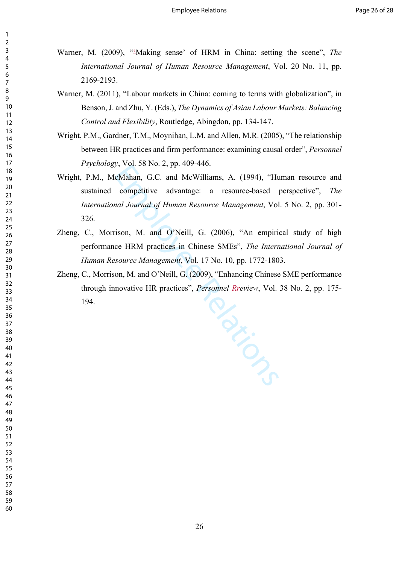- Warner, M. (2009), "-Making sense' of HRM in China: setting the scene", The *International Journal of Human Resource Management*, Vol. 20 No. 11, pp. 2169-2193.
- Warner, M. (2011), "Labour markets in China: coming to terms with globalization", in Benson, J. and Zhu, Y. (Eds.), *The Dynamics of Asian Labour Markets: Balancing Control and Flexibility*, Routledge, Abingdon, pp. 134-147.
- Wright, P.M., Gardner, T.M., Moynihan, L.M. and Allen, M.R. (2005), "The relationship between HR practices and firm performance: examining causal order", *Personnel Psychology*, Vol. 58 No. 2, pp. 409-446.
- Wright, P.M., McMahan, G.C. and McWilliams, A. (1994), "Human resource and sustained competitive advantage: a resource-based perspective", *The International Journal of Human Resource Management*, Vol. 5 No. 2, pp. 301- 326.
- Zheng, C., Morrison, M. and O'Neill, G. (2006), "An empirical study of high performance HRM practices in Chinese SMEs", *The International Journal of Human Resource Management*, Vol. 17 No. 10, pp. 1772-1803.
- Prior Zheng, C., Morrison, M. and O'Neill, G. (2009), "Enhancing Chinese SME performance through innovative HR practices", *Personnel Rreview*, Vol. 38 No. 2, pp. 175- 194.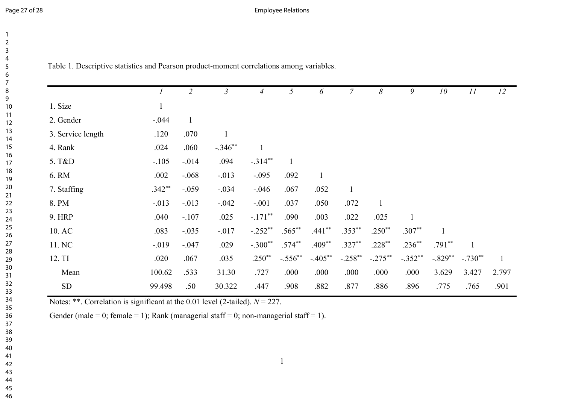Page 27 of 28 **Employee Relations** 

| 2               |  |
|-----------------|--|
| 3               |  |
| 4               |  |
| 5               |  |
| 6               |  |
| 7               |  |
| 8               |  |
| 9               |  |
| 10              |  |
| 11              |  |
| $\overline{12}$ |  |
| 13              |  |
| $\frac{1}{4}$   |  |
| 15              |  |
| 16              |  |
| 17              |  |
| 18<br>19        |  |
| 20              |  |
| $\overline{21}$ |  |
| 22              |  |
| 23              |  |
| 24              |  |
| 25              |  |
| 26              |  |
| 27              |  |
| 28              |  |
| 29              |  |
| 30              |  |
| 31              |  |
| 32              |  |
| 33              |  |
| 34              |  |
| 35              |  |
| 36              |  |
| 37              |  |
| 38              |  |
| 39              |  |
| 40              |  |
| 41              |  |
| 42              |  |
| 43              |  |
| 44              |  |
| 45              |  |

Table 1. Descriptive statistics and Pearson product-moment correlations among variables.

|                   | $\mathfrak l$ | $\overline{2}$ | $\mathfrak{Z}$ | $\overline{4}$ | 5            | 6            | $\overline{7}$ | 8         | 9            | 10        | 11        | 12           |
|-------------------|---------------|----------------|----------------|----------------|--------------|--------------|----------------|-----------|--------------|-----------|-----------|--------------|
| 1. Size           |               |                |                |                |              |              |                |           |              |           |           |              |
| 2. Gender         | $-.044$       | $\mathbf{1}$   |                |                |              |              |                |           |              |           |           |              |
| 3. Service length | .120          | .070           | $\mathbf{1}$   |                |              |              |                |           |              |           |           |              |
| 4. Rank           | .024          | .060           | $-.346**$      |                |              |              |                |           |              |           |           |              |
| 5. T&D            | $-.105$       | $-0.014$       | .094           | $-.314**$      | $\mathbf{1}$ |              |                |           |              |           |           |              |
| 6. RM             | .002          | $-0.068$       | $-0.013$       | $-.095$        | .092         | $\mathbf{1}$ |                |           |              |           |           |              |
| 7. Staffing       | $.342**$      | $-.059$        | $-.034$        | $-0.046$       | .067         | .052         | $\mathbf{1}$   |           |              |           |           |              |
| 8. PM             | $-0.013$      | $-0.013$       | $-0.042$       | $-.001$        | .037         | .050         | .072           |           |              |           |           |              |
| <b>9. HRP</b>     | .040          | $-.107$        | .025           | $-.171$ **     | .090         | .003         | .022           | .025      | $\mathbf{1}$ |           |           |              |
| 10. AC            | .083          | $-.035$        | $-017$         | $-.252**$      | $.565***$    | $.441**$     | $.353**$       | $.250**$  | $.307**$     |           |           |              |
| 11. NC            | $-0.019$      | $-.047$        | .029           | $-.300**$      | $.574***$    | $.409**$     | $.327**$       | $.228**$  | $.236**$     | $.791**$  |           |              |
| 12. TI            | .020          | .067           | .035           | $.250**$       | $-.556**$    | $-.405**$    | $-.258**$      | $-.275**$ | $-.352**$    | $-.829**$ | $-.730**$ | $\mathbf{1}$ |
| Mean              | 100.62        | .533           | 31.30          | .727           | .000         | .000         | .000           | .000      | .000         | 3.629     | 3.427     | 2.797        |
| ${\rm SD}$        | 99.498        | .50            | 30.322         | .447           | .908         | .882         | .877           | .886      | .896         | .775      | .765      | .901         |

Notes: \*\*. Correlation is significant at the 0.01 level (2-tailed).  $N = 227$ .

Gender (male = 0; female = 1); Rank (managerial staff = 0; non-managerial staff = 1).